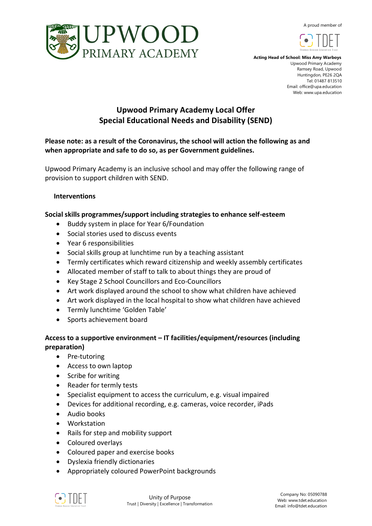A proud member of





 **Acting Head of School: Miss Amy Warboys** Upwood Primary Academy Ramsey Road, Upwood Huntingdon, PE26 2QA Tel: 01487 813510 Email: office@upa.education Web: www.upa.education

# **Upwood Primary Academy Local Offer Special Educational Needs and Disability (SEND)**

**Please note: as a result of the Coronavirus, the school will action the following as and when appropriate and safe to do so, as per Government guidelines.** 

Upwood Primary Academy is an inclusive school and may offer the following range of provision to support children with SEND.

## **Interventions**

## **Social skills programmes/support including strategies to enhance self-esteem**

- Buddy system in place for Year 6/Foundation
- Social stories used to discuss events
- Year 6 responsibilities
- Social skills group at lunchtime run by a teaching assistant
- Termly certificates which reward citizenship and weekly assembly certificates
- Allocated member of staff to talk to about things they are proud of
- Key Stage 2 School Councillors and Eco-Councillors
- Art work displayed around the school to show what children have achieved
- Art work displayed in the local hospital to show what children have achieved
- Termly lunchtime 'Golden Table'
- Sports achievement board

# **Access to a supportive environment – IT facilities/equipment/resources (including preparation)**

- Pre-tutoring
- Access to own laptop
- Scribe for writing
- Reader for termly tests
- Specialist equipment to access the curriculum, e.g. visual impaired
- Devices for additional recording, e.g. cameras, voice recorder, iPads
- Audio books
- Workstation
- Rails for step and mobility support
- Coloured overlays
- Coloured paper and exercise books
- Dyslexia friendly dictionaries
- Appropriately coloured PowerPoint backgrounds

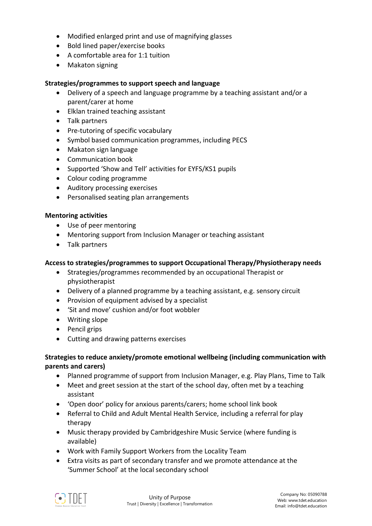- Modified enlarged print and use of magnifying glasses
- Bold lined paper/exercise books
- A comfortable area for 1:1 tuition
- Makaton signing

#### **Strategies/programmes to support speech and language**

- Delivery of a speech and language programme by a teaching assistant and/or a parent/carer at home
- Elklan trained teaching assistant
- Talk partners
- Pre-tutoring of specific vocabulary
- Symbol based communication programmes, including PECS
- Makaton sign language
- Communication book
- Supported 'Show and Tell' activities for EYFS/KS1 pupils
- Colour coding programme
- Auditory processing exercises
- Personalised seating plan arrangements

#### **Mentoring activities**

- Use of peer mentoring
- Mentoring support from Inclusion Manager or teaching assistant
- Talk partners

#### **Access to strategies/programmes to support Occupational Therapy/Physiotherapy needs**

- Strategies/programmes recommended by an occupational Therapist or physiotherapist
- Delivery of a planned programme by a teaching assistant, e.g. sensory circuit
- Provision of equipment advised by a specialist
- 'Sit and move' cushion and/or foot wobbler
- Writing slope
- Pencil grips
- Cutting and drawing patterns exercises

#### **Strategies to reduce anxiety/promote emotional wellbeing (including communication with parents and carers)**

- Planned programme of support from Inclusion Manager, e.g. Play Plans, Time to Talk
- Meet and greet session at the start of the school day, often met by a teaching assistant
- 'Open door' policy for anxious parents/carers; home school link book
- Referral to Child and Adult Mental Health Service, including a referral for play therapy
- Music therapy provided by Cambridgeshire Music Service (where funding is available)
- Work with Family Support Workers from the Locality Team
- Extra visits as part of secondary transfer and we promote attendance at the 'Summer School' at the local secondary school

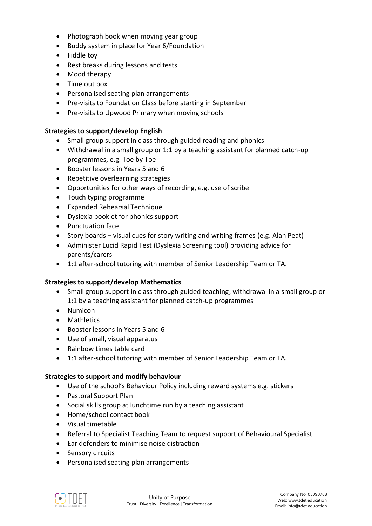- Photograph book when moving year group
- Buddy system in place for Year 6/Foundation
- Fiddle tov
- Rest breaks during lessons and tests
- Mood therapy
- Time out box
- Personalised seating plan arrangements
- Pre-visits to Foundation Class before starting in September
- Pre-visits to Upwood Primary when moving schools

#### **Strategies to support/develop English**

- Small group support in class through guided reading and phonics
- Withdrawal in a small group or 1:1 by a teaching assistant for planned catch-up programmes, e.g. Toe by Toe
- Booster lessons in Years 5 and 6
- Repetitive overlearning strategies
- Opportunities for other ways of recording, e.g. use of scribe
- Touch typing programme
- Expanded Rehearsal Technique
- Dyslexia booklet for phonics support
- Punctuation face
- Story boards visual cues for story writing and writing frames (e.g. Alan Peat)
- Administer Lucid Rapid Test (Dyslexia Screening tool) providing advice for parents/carers
- 1:1 after-school tutoring with member of Senior Leadership Team or TA.

## **Strategies to support/develop Mathematics**

- Small group support in class through guided teaching; withdrawal in a small group or 1:1 by a teaching assistant for planned catch-up programmes
- Numicon
- **•** Mathletics
- Booster lessons in Years 5 and 6
- Use of small, visual apparatus
- Rainbow times table card
- 1:1 after-school tutoring with member of Senior Leadership Team or TA.

## **Strategies to support and modify behaviour**

- Use of the school's Behaviour Policy including reward systems e.g. stickers
- Pastoral Support Plan
- Social skills group at lunchtime run by a teaching assistant
- Home/school contact book
- Visual timetable
- Referral to Specialist Teaching Team to request support of Behavioural Specialist
- Ear defenders to minimise noise distraction
- Sensory circuits
- Personalised seating plan arrangements

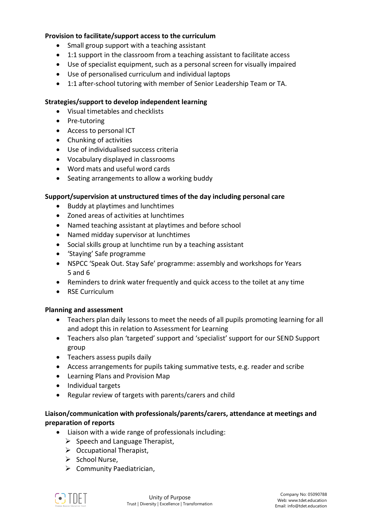#### **Provision to facilitate/support access to the curriculum**

- Small group support with a teaching assistant
- 1:1 support in the classroom from a teaching assistant to facilitate access
- Use of specialist equipment, such as a personal screen for visually impaired
- Use of personalised curriculum and individual laptops
- 1:1 after-school tutoring with member of Senior Leadership Team or TA.

#### **Strategies/support to develop independent learning**

- Visual timetables and checklists
- Pre-tutoring
- Access to personal ICT
- Chunking of activities
- Use of individualised success criteria
- Vocabulary displayed in classrooms
- Word mats and useful word cards
- Seating arrangements to allow a working buddy

## **Support/supervision at unstructured times of the day including personal care**

- Buddy at playtimes and lunchtimes
- Zoned areas of activities at lunchtimes
- Named teaching assistant at playtimes and before school
- Named midday supervisor at lunchtimes
- Social skills group at lunchtime run by a teaching assistant
- 'Staying' Safe programme
- NSPCC 'Speak Out. Stay Safe' programme: assembly and workshops for Years 5 and 6
- Reminders to drink water frequently and quick access to the toilet at any time
- RSE Curriculum

## **Planning and assessment**

- Teachers plan daily lessons to meet the needs of all pupils promoting learning for all and adopt this in relation to Assessment for Learning
- Teachers also plan 'targeted' support and 'specialist' support for our SEND Support group
- Teachers assess pupils daily
- Access arrangements for pupils taking summative tests, e.g. reader and scribe
- Learning Plans and Provision Map
- Individual targets
- Regular review of targets with parents/carers and child

## **Liaison/communication with professionals/parents/carers, attendance at meetings and preparation of reports**

- Liaison with a wide range of professionals including:
	- $\triangleright$  Speech and Language Therapist,
	- $\triangleright$  Occupational Therapist,
	- $\triangleright$  School Nurse,
	- $\triangleright$  Community Paediatrician,